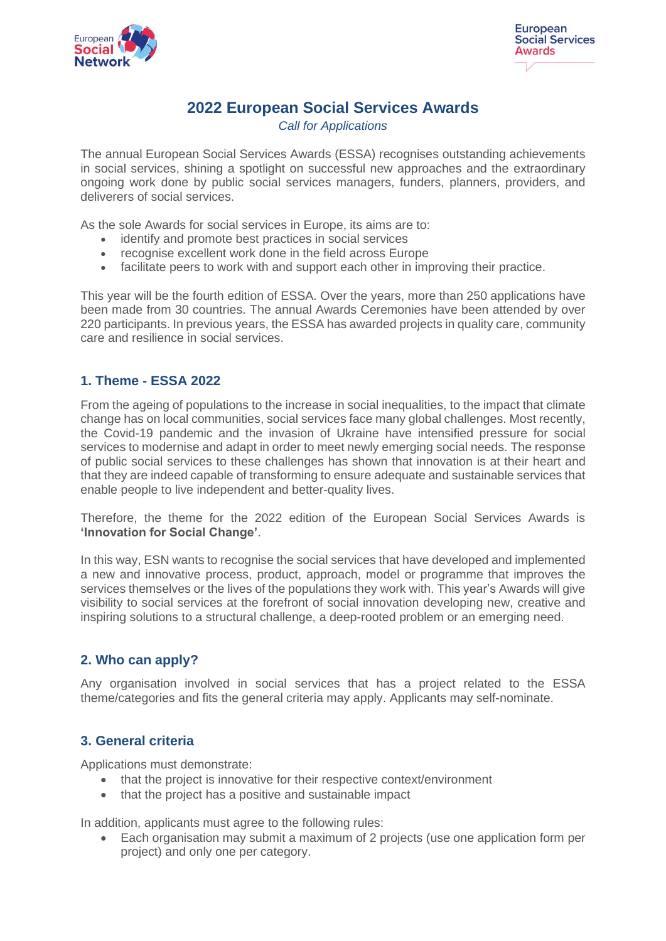



# **2022 European Social Services Awards**

*Call for Applications* 

The annual European Social Services Awards (ESSA) recognises outstanding achievements in social services, shining a spotlight on successful new approaches and the extraordinary ongoing work done by public social services managers, funders, planners, providers, and deliverers of social services.

As the sole Awards for social services in Europe, its aims are to:

- identify and promote best practices in social services
- recognise excellent work done in the field across Europe
- facilitate peers to work with and support each other in improving their practice.

This year will be the fourth edition of ESSA. Over the years, more than 250 applications have been made from 30 countries. The annual Awards Ceremonies have been attended by over 220 participants. In previous years, the ESSA has awarded projects in quality care, community care and resilience in social services.

## **1. Theme - ESSA 2022**

From the ageing of populations to the increase in social inequalities, to the impact that climate change has on local communities, social services face many global challenges. Most recently, the Covid-19 pandemic and the invasion of Ukraine have intensified pressure for social services to modernise and adapt in order to meet newly emerging social needs. The response of public social services to these challenges has shown that innovation is at their heart and that they are indeed capable of transforming to ensure adequate and sustainable services that enable people to live independent and better-quality lives.

Therefore, the theme for the 2022 edition of the European Social Services Awards is **'Innovation for Social Change'**.

In this way, ESN wants to recognise the social services that have developed and implemented a new and innovative process, product, approach, model or programme that improves the services themselves or the lives of the populations they work with. This year's Awards will give visibility to social services at the forefront of social innovation developing new, creative and inspiring solutions to a structural challenge, a deep-rooted problem or an emerging need.

## **2. Who can apply?**

Any organisation involved in social services that has a project related to the ESSA theme/categories and fits the general criteria may apply. Applicants may self-nominate.

## **3. General criteria**

Applications must demonstrate:

- that the project is innovative for their respective context/environment
- that the project has a positive and sustainable impact

In addition, applicants must agree to the following rules:

• Each organisation may submit a maximum of 2 projects (use one application form per project) and only one per category.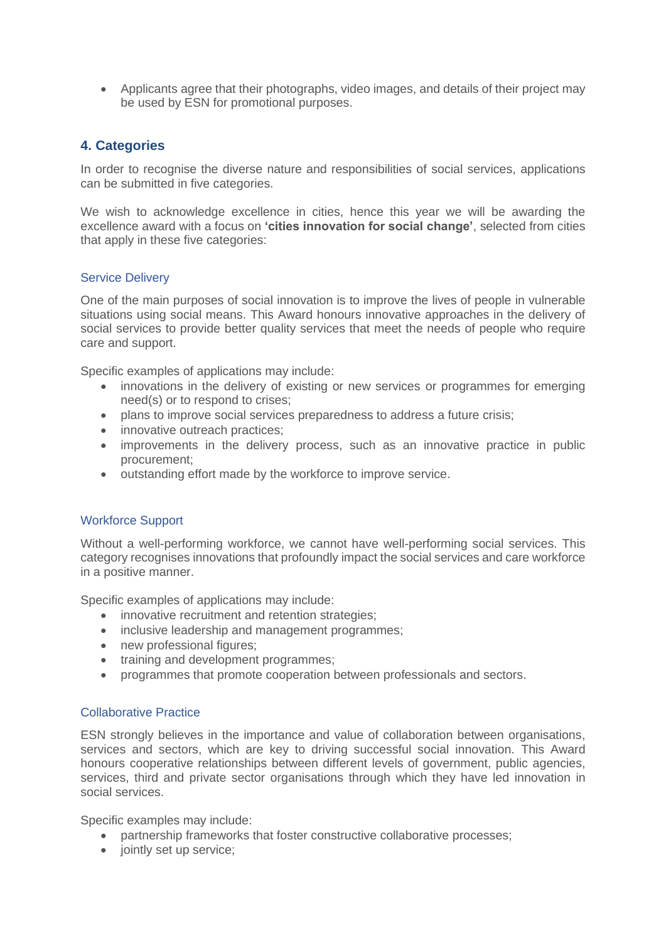• Applicants agree that their photographs, video images, and details of their project may be used by ESN for promotional purposes.

## **4. Categories**

In order to recognise the diverse nature and responsibilities of social services, applications can be submitted in five categories.

We wish to acknowledge excellence in cities, hence this year we will be awarding the excellence award with a focus on **'cities innovation for social change'**, selected from cities that apply in these five categories:

#### Service Delivery

One of the main purposes of social innovation is to improve the lives of people in vulnerable situations using social means. This Award honours innovative approaches in the delivery of social services to provide better quality services that meet the needs of people who require care and support.

Specific examples of applications may include:

- innovations in the delivery of existing or new services or programmes for emerging need(s) or to respond to crises;
- plans to improve social services preparedness to address a future crisis;
- innovative outreach practices;
- improvements in the delivery process, such as an innovative practice in public procurement;
- outstanding effort made by the workforce to improve service.

#### Workforce Support

Without a well-performing workforce, we cannot have well-performing social services. This category recognises innovations that profoundly impact the social services and care workforce in a positive manner.

Specific examples of applications may include:

- innovative recruitment and retention strategies:
- inclusive leadership and management programmes;
- new professional figures;
- training and development programmes;
- programmes that promote cooperation between professionals and sectors.

#### Collaborative Practice

ESN strongly believes in the importance and value of collaboration between organisations, services and sectors, which are key to driving successful social innovation. This Award honours cooperative relationships between different levels of government, public agencies, services, third and private sector organisations through which they have led innovation in social services.

Specific examples may include:

- partnership frameworks that foster constructive collaborative processes;
- jointly set up service: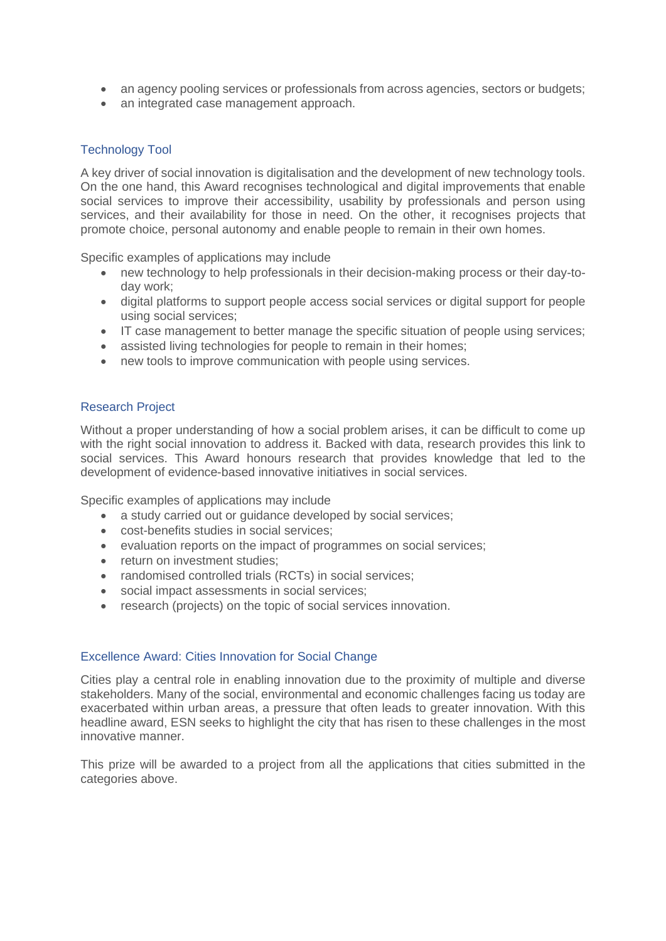- an agency pooling services or professionals from across agencies, sectors or budgets;
- an integrated case management approach.

### Technology Tool

A key driver of social innovation is digitalisation and the development of new technology tools. On the one hand, this Award recognises technological and digital improvements that enable social services to improve their accessibility, usability by professionals and person using services, and their availability for those in need. On the other, it recognises projects that promote choice, personal autonomy and enable people to remain in their own homes.

Specific examples of applications may include

- new technology to help professionals in their decision-making process or their day-today work;
- digital platforms to support people access social services or digital support for people using social services;
- IT case management to better manage the specific situation of people using services;
- assisted living technologies for people to remain in their homes;
- new tools to improve communication with people using services.

#### Research Project

Without a proper understanding of how a social problem arises, it can be difficult to come up with the right social innovation to address it. Backed with data, research provides this link to social services. This Award honours research that provides knowledge that led to the development of evidence-based innovative initiatives in social services.

Specific examples of applications may include

- a study carried out or quidance developed by social services;
- cost-benefits studies in social services;
- evaluation reports on the impact of programmes on social services:
- return on investment studies:
- randomised controlled trials (RCTs) in social services;
- social impact assessments in social services;
- research (projects) on the topic of social services innovation.

#### Excellence Award: Cities Innovation for Social Change

Cities play a central role in enabling innovation due to the proximity of multiple and diverse stakeholders. Many of the social, environmental and economic challenges facing us today are exacerbated within urban areas, a pressure that often leads to greater innovation. With this headline award, ESN seeks to highlight the city that has risen to these challenges in the most innovative manner.

This prize will be awarded to a project from all the applications that cities submitted in the categories above.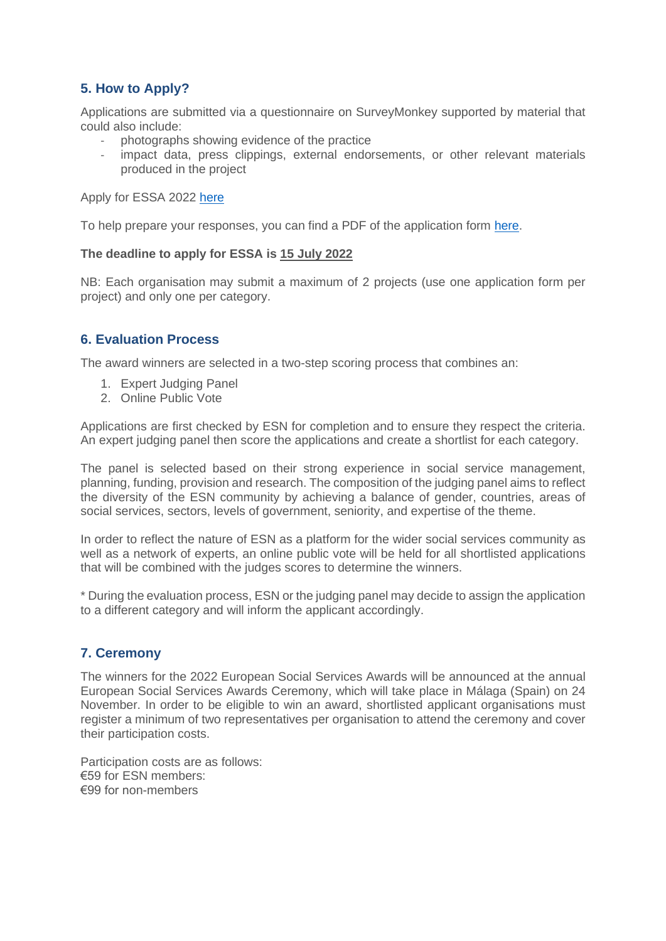## **5. How to Apply?**

Applications are submitted via a questionnaire on SurveyMonkey supported by material that could also include:

- photographs showing evidence of the practice
- impact data, press clippings, external endorsements, or other relevant materials produced in the project

Apply for ESSA 2022 [here](https://www.surveymonkey.com/r/ND7KTCL)

To help prepare your responses, you can find a PDF of the application form [here.](https://essa-eu.org/wp-content/uploads/sites/4/2022/06/Questionnaire_2022-ESSA-ESN-Website.pdf)

#### **The deadline to apply for ESSA is 15 July 2022**

NB: Each organisation may submit a maximum of 2 projects (use one application form per project) and only one per category.

### **6. Evaluation Process**

The award winners are selected in a two-step scoring process that combines an:

- 1. Expert Judging Panel
- 2. Online Public Vote

Applications are first checked by ESN for completion and to ensure they respect the criteria. An expert judging panel then score the applications and create a shortlist for each category.

The panel is selected based on their strong experience in social service management, planning, funding, provision and research. The composition of the judging panel aims to reflect the diversity of the ESN community by achieving a balance of gender, countries, areas of social services, sectors, levels of government, seniority, and expertise of the theme.

In order to reflect the nature of ESN as a platform for the wider social services community as well as a network of experts, an online public vote will be held for all shortlisted applications that will be combined with the judges scores to determine the winners.

\* During the evaluation process, ESN or the judging panel may decide to assign the application to a different category and will inform the applicant accordingly.

## **7. Ceremony**

The winners for the 2022 European Social Services Awards will be announced at the annual European Social Services Awards Ceremony, which will take place in Málaga (Spain) on 24 November. In order to be eligible to win an award, shortlisted applicant organisations must register a minimum of two representatives per organisation to attend the ceremony and cover their participation costs.

Participation costs are as follows: €59 for ESN members: €99 for non-members